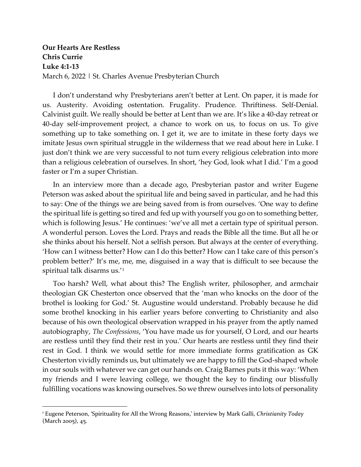**Our Hearts Are Restless Chris Currie Luke 4:1-13** March 6, 2022 | St. Charles Avenue Presbyterian Church

I don't understand why Presbyterians aren't better at Lent. On paper, it is made for us. Austerity. Avoiding ostentation. Frugality. Prudence. Thriftiness. Self-Denial. Calvinist guilt. We really should be better at Lent than we are. It's like a 40-day retreat or 40-day self-improvement project, a chance to work on us, to focus on us. To give something up to take something on. I get it, we are to imitate in these forty days we imitate Jesus own spiritual struggle in the wilderness that we read about here in Luke. I just don't think we are very successful to not turn every religious celebration into more than a religious celebration of ourselves. In short, 'hey God, look what I did.' I'm a good faster or I'm a super Christian.

In an interview more than a decade ago, Presbyterian pastor and writer Eugene Peterson was asked about the spiritual life and being saved in particular, and he had this to say: One of the things we are being saved from is from ourselves. 'One way to define the spiritual life is getting so tired and fed up with yourself you go on to something better, which is following Jesus.' He continues: 'we've all met a certain type of spiritual person. A wonderful person. Loves the Lord. Prays and reads the Bible all the time. But all he or she thinks about his herself. Not a selfish person. But always at the center of everything. 'How can I witness better? How can I do this better? How can I take care of this person's problem better?' It's me, me, me, disguised in a way that is difficult to see because the spiritual talk disarms us.'[1](#page-0-0)

Too harsh? Well, what about this? The English writer, philosopher, and armchair theologian GK Chesterton once observed that the 'man who knocks on the door of the brothel is looking for God.' St. Augustine would understand. Probably because he did some brothel knocking in his earlier years before converting to Christianity and also because of his own theological observation wrapped in his prayer from the aptly named autobiography, *The Confessions*, 'You have made us for yourself, O Lord, and our hearts are restless until they find their rest in you.' Our hearts are restless until they find their rest in God. I think we would settle for more immediate forms gratification as GK Chesterton vividly reminds us, but ultimately we are happy to fill the God-shaped whole in our souls with whatever we can get our hands on. Craig Barnes puts it this way: 'When my friends and I were leaving college, we thought the key to finding our blissfully fulfilling vocations was knowing ourselves. So we threw ourselves into lots of personality

<span id="page-0-0"></span><sup>1</sup> Eugene Peterson, 'Spirituality for All the Wrong Reasons,' interview by Mark Galli, *Christianity Today* (March 2005), 45.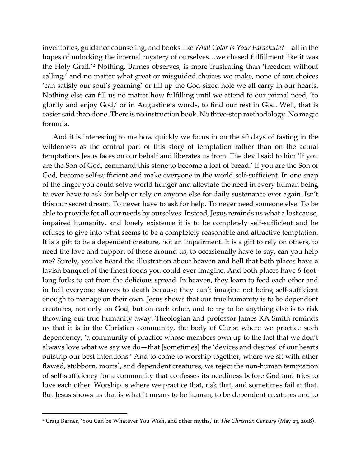inventories, guidance counseling, and books like *What Color Is Your Parachute?—*all in the hopes of unlocking the internal mystery of ourselves…we chased fulfillment like it was the Holy Grail.'[2](#page-1-0) Nothing, Barnes observes, is more frustrating than 'freedom without calling,' and no matter what great or misguided choices we make, none of our choices 'can satisfy our soul's yearning' or fill up the God-sized hole we all carry in our hearts. Nothing else can fill us no matter how fulfilling until we attend to our primal need, 'to glorify and enjoy God,' or in Augustine's words, to find our rest in God. Well, that is easier said than done. There is no instruction book. No three-step methodology. No magic formula.

And it is interesting to me how quickly we focus in on the 40 days of fasting in the wilderness as the central part of this story of temptation rather than on the actual temptations Jesus faces on our behalf and liberates us from. The devil said to him 'If you are the Son of God, command this stone to become a loaf of bread.' If you are the Son of God, become self-sufficient and make everyone in the world self-sufficient. In one snap of the finger you could solve world hunger and alleviate the need in every human being to ever have to ask for help or rely on anyone else for daily sustenance ever again. Isn't this our secret dream. To never have to ask for help. To never need someone else. To be able to provide for all our needs by ourselves. Instead, Jesus reminds us what a lost cause, impaired humanity, and lonely existence it is to be completely self-sufficient and he refuses to give into what seems to be a completely reasonable and attractive temptation. It is a gift to be a dependent creature, not an impairment. It is a gift to rely on others, to need the love and support of those around us, to occasionally have to say, can you help me? Surely, you've heard the illustration about heaven and hell that both places have a lavish banquet of the finest foods you could ever imagine. And both places have 6-footlong forks to eat from the delicious spread. In heaven, they learn to feed each other and in hell everyone starves to death because they can't imagine not being self-sufficient enough to manage on their own. Jesus shows that our true humanity is to be dependent creatures, not only on God, but on each other, and to try to be anything else is to risk throwing our true humanity away. Theologian and professor James KA Smith reminds us that it is in the Christian community, the body of Christ where we practice such dependency, 'a community of practice whose members own up to the fact that we don't always love what we say we do—that [sometimes] the 'devices and desires' of our hearts outstrip our best intentions.' And to come to worship together, where we sit with other flawed, stubborn, mortal, and dependent creatures, we reject the non-human temptation of self-sufficiency for a community that confesses its neediness before God and tries to love each other. Worship is where we practice that, risk that, and sometimes fail at that. But Jesus shows us that is what it means to be human, to be dependent creatures and to

<span id="page-1-0"></span><sup>2</sup> Craig Barnes, 'You Can be Whatever You Wish, and other myths,' in *The Christian Century* (May 23, 2018).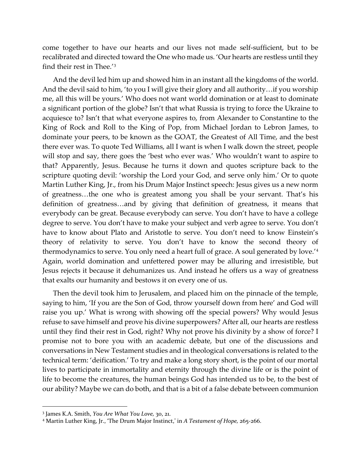come together to have our hearts and our lives not made self-sufficient, but to be recalibrated and directed toward the One who made us. 'Our hearts are restless until they find their rest in Thee.'[3](#page-2-0)

And the devil led him up and showed him in an instant all the kingdoms of the world. And the devil said to him, 'to you I will give their glory and all authority…if you worship me, all this will be yours.' Who does not want world domination or at least to dominate a significant portion of the globe? Isn't that what Russia is trying to force the Ukraine to acquiesce to? Isn't that what everyone aspires to, from Alexander to Constantine to the King of Rock and Roll to the King of Pop, from Michael Jordan to Lebron James, to dominate your peers, to be known as the GOAT, the Greatest of All Time, and the best there ever was. To quote Ted Williams, all I want is when I walk down the street, people will stop and say, there goes the 'best who ever was.' Who wouldn't want to aspire to that? Apparently, Jesus. Because he turns it down and quotes scripture back to the scripture quoting devil: 'worship the Lord your God, and serve only him.' Or to quote Martin Luther King, Jr., from his Drum Major Instinct speech: Jesus gives us a new norm of greatness…the one who is greatest among you shall be your servant. That's his definition of greatness…and by giving that definition of greatness, it means that everybody can be great. Because everybody can serve. You don't have to have a college degree to serve. You don't have to make your subject and verb agree to serve. You don't have to know about Plato and Aristotle to serve. You don't need to know Einstein's theory of relativity to serve. You don't have to know the second theory of thermodynamics to serve. You only need a heart full of grace. A soul generated by love.['4](#page-2-1) Again, world domination and unfettered power may be alluring and irresistible, but Jesus rejects it because it dehumanizes us. And instead he offers us a way of greatness that exalts our humanity and bestows it on every one of us.

Then the devil took him to Jerusalem, and placed him on the pinnacle of the temple, saying to him, 'If you are the Son of God, throw yourself down from here' and God will raise you up.' What is wrong with showing off the special powers? Why would Jesus refuse to save himself and prove his divine superpowers? After all, our hearts are restless until they find their rest in God, right? Why not prove his divinity by a show of force? I promise not to bore you with an academic debate, but one of the discussions and conversations in New Testament studies and in theological conversations is related to the technical term: 'deification.' To try and make a long story short, is the point of our mortal lives to participate in immortality and eternity through the divine life or is the point of life to become the creatures, the human beings God has intended us to be, to the best of our ability? Maybe we can do both, and that is a bit of a false debate between communion

<span id="page-2-0"></span><sup>3</sup> James K.A. Smith, *You Are What You Love,* 30, 21.

<span id="page-2-1"></span><sup>4</sup> Martin Luther King, Jr., 'The Drum Major Instinct,' in *A Testament of Hope,* 265-266.